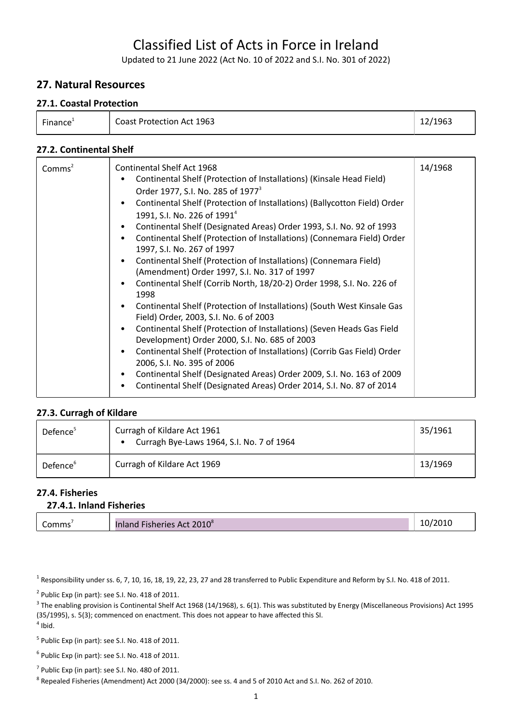# Classified List of Acts in Force in Ireland

Updated to 21 June 2022 (Act No. 10 of 2022 and S.I. No. 301 of 2022)

### **27. Natural Resources**

#### **27.1. Coastal Protection**

| Finance | Coast Protection Act 1963 | 12/1963 |
|---------|---------------------------|---------|
|---------|---------------------------|---------|

#### **27.2. Continental Shelf**

| 1997, S.I. No. 267 of 1997<br>Continental Shelf (Protection of Installations) (Connemara Field)<br>(Amendment) Order 1997, S.I. No. 317 of 1997<br>Continental Shelf (Corrib North, 18/20-2) Order 1998, S.I. No. 226 of<br>1998<br>Continental Shelf (Protection of Installations) (South West Kinsale Gas<br>Field) Order, 2003, S.I. No. 6 of 2003<br>Continental Shelf (Protection of Installations) (Seven Heads Gas Field<br>Development) Order 2000, S.I. No. 685 of 2003<br>Continental Shelf (Protection of Installations) (Corrib Gas Field) Order<br>2006, S.I. No. 395 of 2006<br>Continental Shelf (Designated Areas) Order 2009, S.I. No. 163 of 2009<br>Continental Shelf (Designated Areas) Order 2014, S.I. No. 87 of 2014 |  | Comms <sup>2</sup> | Continental Shelf Act 1968<br>Continental Shelf (Protection of Installations) (Kinsale Head Field)<br>Order 1977, S.I. No. 285 of 1977 <sup>3</sup><br>Continental Shelf (Protection of Installations) (Ballycotton Field) Order<br>1991, S.I. No. 226 of 1991 <sup>4</sup><br>Continental Shelf (Designated Areas) Order 1993, S.I. No. 92 of 1993<br>Continental Shelf (Protection of Installations) (Connemara Field) Order | 14/1968 |
|---------------------------------------------------------------------------------------------------------------------------------------------------------------------------------------------------------------------------------------------------------------------------------------------------------------------------------------------------------------------------------------------------------------------------------------------------------------------------------------------------------------------------------------------------------------------------------------------------------------------------------------------------------------------------------------------------------------------------------------------|--|--------------------|--------------------------------------------------------------------------------------------------------------------------------------------------------------------------------------------------------------------------------------------------------------------------------------------------------------------------------------------------------------------------------------------------------------------------------|---------|
|---------------------------------------------------------------------------------------------------------------------------------------------------------------------------------------------------------------------------------------------------------------------------------------------------------------------------------------------------------------------------------------------------------------------------------------------------------------------------------------------------------------------------------------------------------------------------------------------------------------------------------------------------------------------------------------------------------------------------------------------|--|--------------------|--------------------------------------------------------------------------------------------------------------------------------------------------------------------------------------------------------------------------------------------------------------------------------------------------------------------------------------------------------------------------------------------------------------------------------|---------|

#### **27.3. Curragh of Kildare**

| Defence <sup>3</sup> | Curragh of Kildare Act 1961<br>Curragh Bye-Laws 1964, S.I. No. 7 of 1964 | 35/1961 |
|----------------------|--------------------------------------------------------------------------|---------|
| Defence <sup>6</sup> | Curragh of Kildare Act 1969                                              | 13/1969 |

#### **27.4. Fisheries 27.4.1. Inland Fisheries**

| 27.4.1. Inland Fisheries |  |
|--------------------------|--|
|                          |  |

| -<br>omms | $2010^{\circ}$<br>Act<br>.<br>Fisheries<br>iniand | '2010 |
|-----------|---------------------------------------------------|-------|

<sup>1</sup> Responsibility under ss. 6, 7, 10, 16, 18, 19, 22, 23, 27 and 28 transferred to Public Expenditure and Reform by S.I. No. 418 of 2011.

 $2$  Public Exp (in part): see S.I. No. 418 of 2011.

 $^3$  The enabling provision is Continental Shelf Act 1968 (14/1968), s. 6(1). This was substituted by Energy (Miscellaneous Provisions) Act 1995 (35/1995), s. 5(3); commenced on enactment. This does not appear to have affected this SI.

 $<sup>4</sup>$  Ibid.</sup>

 $<sup>5</sup>$  Public Exp (in part): see S.I. No. 418 of 2011.</sup>

 $6$  Public Exp (in part): see S.I. No. 418 of 2011.

 $7$  Public Exp (in part): see S.I. No. 480 of 2011.

 $^8$  Repealed Fisheries (Amendment) Act 2000 (34/2000): see ss. 4 and 5 of 2010 Act and S.I. No. 262 of 2010.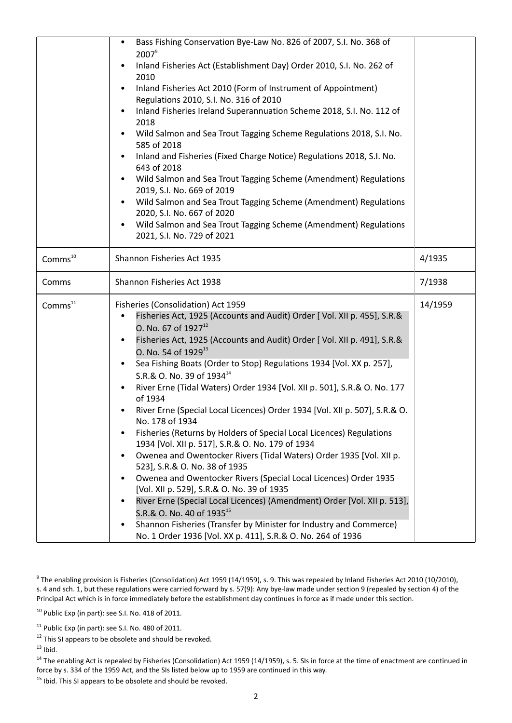|                     | Bass Fishing Conservation Bye-Law No. 826 of 2007, S.I. No. 368 of<br>$\bullet$<br>$2007^9$<br>Inland Fisheries Act (Establishment Day) Order 2010, S.I. No. 262 of<br>2010<br>Inland Fisheries Act 2010 (Form of Instrument of Appointment)<br>$\bullet$<br>Regulations 2010, S.I. No. 316 of 2010<br>Inland Fisheries Ireland Superannuation Scheme 2018, S.I. No. 112 of<br>2018<br>Wild Salmon and Sea Trout Tagging Scheme Regulations 2018, S.I. No.<br>585 of 2018<br>Inland and Fisheries (Fixed Charge Notice) Regulations 2018, S.I. No.<br>643 of 2018<br>Wild Salmon and Sea Trout Tagging Scheme (Amendment) Regulations<br>2019, S.I. No. 669 of 2019<br>Wild Salmon and Sea Trout Tagging Scheme (Amendment) Regulations<br>$\bullet$<br>2020, S.I. No. 667 of 2020<br>Wild Salmon and Sea Trout Tagging Scheme (Amendment) Regulations<br>2021, S.I. No. 729 of 2021                                                                                                                                                                                                                                                                                                                         |         |
|---------------------|--------------------------------------------------------------------------------------------------------------------------------------------------------------------------------------------------------------------------------------------------------------------------------------------------------------------------------------------------------------------------------------------------------------------------------------------------------------------------------------------------------------------------------------------------------------------------------------------------------------------------------------------------------------------------------------------------------------------------------------------------------------------------------------------------------------------------------------------------------------------------------------------------------------------------------------------------------------------------------------------------------------------------------------------------------------------------------------------------------------------------------------------------------------------------------------------------------------|---------|
| Comms <sup>10</sup> | Shannon Fisheries Act 1935                                                                                                                                                                                                                                                                                                                                                                                                                                                                                                                                                                                                                                                                                                                                                                                                                                                                                                                                                                                                                                                                                                                                                                                   | 4/1935  |
| Comms               | Shannon Fisheries Act 1938                                                                                                                                                                                                                                                                                                                                                                                                                                                                                                                                                                                                                                                                                                                                                                                                                                                                                                                                                                                                                                                                                                                                                                                   | 7/1938  |
| Comm <sup>11</sup>  | Fisheries (Consolidation) Act 1959<br>Fisheries Act, 1925 (Accounts and Audit) Order [ Vol. XII p. 455], S.R.&<br>0. No. 67 of $1927^{12}$<br>Fisheries Act, 1925 (Accounts and Audit) Order [ Vol. XII p. 491], S.R.&<br>$\bullet$<br>O. No. 54 of 1929 <sup>13</sup><br>Sea Fishing Boats (Order to Stop) Regulations 1934 [Vol. XX p. 257],<br>$\bullet$<br>S.R.& O. No. 39 of 1934 <sup>14</sup><br>River Erne (Tidal Waters) Order 1934 [Vol. XII p. 501], S.R.& O. No. 177<br>of 1934<br>River Erne (Special Local Licences) Order 1934 [Vol. XII p. 507], S.R.& O.<br>No. 178 of 1934<br>Fisheries (Returns by Holders of Special Local Licences) Regulations<br>1934 [Vol. XII p. 517], S.R.& O. No. 179 of 1934<br>Owenea and Owentocker Rivers (Tidal Waters) Order 1935 [Vol. XII p.<br>523], S.R.& O. No. 38 of 1935<br>Owenea and Owentocker Rivers (Special Local Licences) Order 1935<br>[Vol. XII p. 529], S.R.& O. No. 39 of 1935<br>River Erne (Special Local Licences) (Amendment) Order [Vol. XII p. 513],<br>S.R.& O. No. 40 of 1935 <sup>15</sup><br>Shannon Fisheries (Transfer by Minister for Industry and Commerce)<br>No. 1 Order 1936 [Vol. XX p. 411], S.R.& O. No. 264 of 1936 | 14/1959 |

 $^9$  The enabling provision is Fisheries (Consolidation) Act 1959 (14/1959), s. 9. This was repealed by Inland Fisheries Act 2010 (10/2010), s. 4 and sch. 1, but these regulations were carried forward by s. 57(9): Any bye-law made under section 9 (repealed by section 4) of the Principal Act which is in force immediately before the establishment day continues in force as if made under this section.

<sup>10</sup> Public Exp (in part): see S.I. No. 418 of 2011.

 $12$  This SI appears to be obsolete and should be revoked.

 $13$  Ibid.

<sup>14</sup> The enabling Act is repealed by Fisheries (Consolidation) Act 1959 (14/1959), s. 5. SIs in force at the time of enactment are continued in force by s. 334 of the 1959 Act, and the SIs listed below up to 1959 are continued in this way.

<sup>15</sup> Ibid. This SI appears to be obsolete and should be revoked.

<sup>&</sup>lt;sup>11</sup> Public Exp (in part): see S.I. No. 480 of 2011.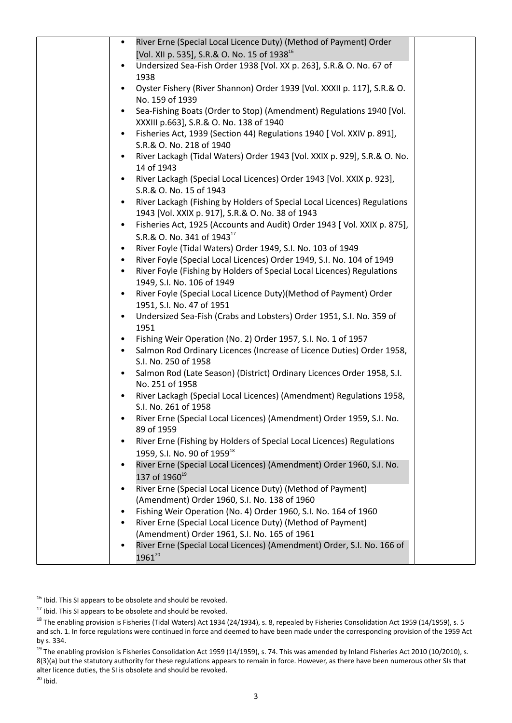| River Erne (Special Local Licence Duty) (Method of Payment) Order                     |
|---------------------------------------------------------------------------------------|
| [Vol. XII p. 535], S.R.& O. No. 15 of 1938 <sup>16</sup>                              |
| Undersized Sea-Fish Order 1938 [Vol. XX p. 263], S.R.& O. No. 67 of                   |
| 1938                                                                                  |
| Oyster Fishery (River Shannon) Order 1939 [Vol. XXXII p. 117], S.R.& O.               |
| No. 159 of 1939                                                                       |
| Sea-Fishing Boats (Order to Stop) (Amendment) Regulations 1940 [Vol.                  |
| XXXIII p.663], S.R.& O. No. 138 of 1940                                               |
| Fisheries Act, 1939 (Section 44) Regulations 1940 [ Vol. XXIV p. 891],                |
| S.R.& O. No. 218 of 1940                                                              |
| River Lackagh (Tidal Waters) Order 1943 [Vol. XXIX p. 929], S.R.& O. No.              |
| 14 of 1943                                                                            |
| River Lackagh (Special Local Licences) Order 1943 [Vol. XXIX p. 923],<br>$\bullet$    |
| S.R.& O. No. 15 of 1943                                                               |
| River Lackagh (Fishing by Holders of Special Local Licences) Regulations              |
| 1943 [Vol. XXIX p. 917], S.R.& O. No. 38 of 1943                                      |
| Fisheries Act, 1925 (Accounts and Audit) Order 1943 [ Vol. XXIX p. 875],<br>$\bullet$ |
| S.R.& O. No. 341 of 1943 <sup>17</sup>                                                |
| River Foyle (Tidal Waters) Order 1949, S.I. No. 103 of 1949                           |
| River Foyle (Special Local Licences) Order 1949, S.I. No. 104 of 1949                 |
| River Foyle (Fishing by Holders of Special Local Licences) Regulations<br>$\bullet$   |
| 1949, S.I. No. 106 of 1949                                                            |
| River Foyle (Special Local Licence Duty) (Method of Payment) Order<br>$\bullet$       |
| 1951, S.I. No. 47 of 1951                                                             |
| Undersized Sea-Fish (Crabs and Lobsters) Order 1951, S.I. No. 359 of                  |
| 1951                                                                                  |
| Fishing Weir Operation (No. 2) Order 1957, S.I. No. 1 of 1957                         |
| Salmon Rod Ordinary Licences (Increase of Licence Duties) Order 1958,<br>$\bullet$    |
| S.I. No. 250 of 1958                                                                  |
| Salmon Rod (Late Season) (District) Ordinary Licences Order 1958, S.I.                |
| No. 251 of 1958                                                                       |
| River Lackagh (Special Local Licences) (Amendment) Regulations 1958,                  |
| S.I. No. 261 of 1958                                                                  |
| River Erne (Special Local Licences) (Amendment) Order 1959, S.I. No.                  |
| 89 of 1959                                                                            |
| River Erne (Fishing by Holders of Special Local Licences) Regulations                 |
| 1959, S.I. No. 90 of 1959 <sup>18</sup>                                               |
| River Erne (Special Local Licences) (Amendment) Order 1960, S.I. No.                  |
| 137 of 1960 <sup>19</sup>                                                             |
| River Erne (Special Local Licence Duty) (Method of Payment)                           |
| (Amendment) Order 1960, S.I. No. 138 of 1960                                          |
| Fishing Weir Operation (No. 4) Order 1960, S.I. No. 164 of 1960                       |
| River Erne (Special Local Licence Duty) (Method of Payment)                           |
| (Amendment) Order 1961, S.I. No. 165 of 1961                                          |
| River Erne (Special Local Licences) (Amendment) Order, S.I. No. 166 of                |
| $1961^{20}$                                                                           |

<sup>16</sup> Ibid. This SI appears to be obsolete and should be revoked.

 $17$  Ibid. This SI appears to be obsolete and should be revoked.

<sup>18</sup> The enabling provision is Fisheries (Tidal Waters) Act 1934 (24/1934), s. 8, repealed by Fisheries Consolidation Act 1959 (14/1959), s. 5 and sch. 1. In force regulations were continued in force and deemed to have been made under the corresponding provision of the 1959 Act by s. 334.

 $19$  The enabling provision is Fisheries Consolidation Act 1959 (14/1959), s. 74. This was amended by Inland Fisheries Act 2010 (10/2010), s. 8(3)(a) but the statutory authority for these regulations appears to remain in force. However, as there have been numerous other SIs that alter licence duties, the SI is obsolete and should be revoked.  $20$  Ibid.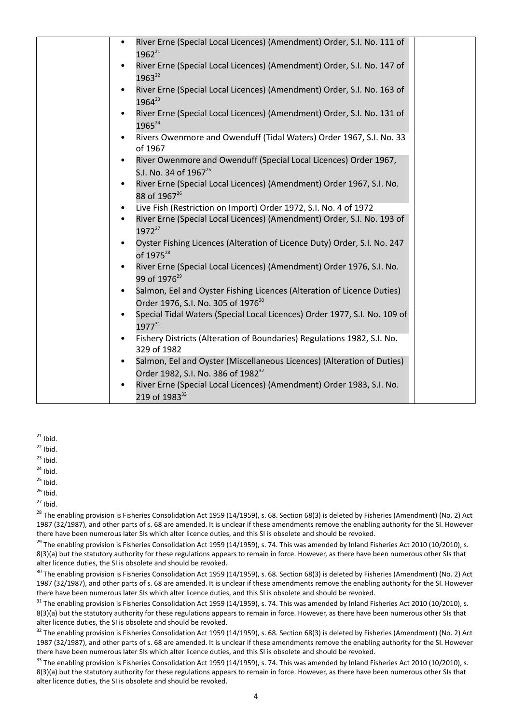| River Erne (Special Local Licences) (Amendment) Order, S.I. No. 111 of<br>$1962^{21}$                                                 |  |
|---------------------------------------------------------------------------------------------------------------------------------------|--|
| River Erne (Special Local Licences) (Amendment) Order, S.I. No. 147 of<br>$\bullet$<br>1963 <sup>22</sup>                             |  |
| River Erne (Special Local Licences) (Amendment) Order, S.I. No. 163 of<br>1964 <sup>23</sup>                                          |  |
| River Erne (Special Local Licences) (Amendment) Order, S.I. No. 131 of<br>$\bullet$<br>1965 <sup>24</sup>                             |  |
| Rivers Owenmore and Owenduff (Tidal Waters) Order 1967, S.I. No. 33<br>of 1967                                                        |  |
| River Owenmore and Owenduff (Special Local Licences) Order 1967,<br>$\bullet$<br>S.I. No. 34 of 1967 <sup>25</sup>                    |  |
| River Erne (Special Local Licences) (Amendment) Order 1967, S.I. No.<br>88 of 1967 <sup>26</sup>                                      |  |
| Live Fish (Restriction on Import) Order 1972, S.I. No. 4 of 1972                                                                      |  |
| River Erne (Special Local Licences) (Amendment) Order, S.I. No. 193 of<br>$1972^{27}$                                                 |  |
| Oyster Fishing Licences (Alteration of Licence Duty) Order, S.I. No. 247<br>of 1975 <sup>28</sup>                                     |  |
| River Erne (Special Local Licences) (Amendment) Order 1976, S.I. No.<br>99 of 1976 <sup>29</sup>                                      |  |
| Salmon, Eel and Oyster Fishing Licences (Alteration of Licence Duties)<br>$\bullet$<br>Order 1976, S.I. No. 305 of 1976 <sup>30</sup> |  |
| Special Tidal Waters (Special Local Licences) Order 1977, S.I. No. 109 of<br>$\bullet$<br>197731                                      |  |
| Fishery Districts (Alteration of Boundaries) Regulations 1982, S.I. No.<br>$\bullet$<br>329 of 1982                                   |  |
| Salmon, Eel and Oyster (Miscellaneous Licences) (Alteration of Duties)<br>$\bullet$                                                   |  |
| Order 1982, S.I. No. 386 of 1982 <sup>32</sup>                                                                                        |  |
| River Erne (Special Local Licences) (Amendment) Order 1983, S.I. No.<br>$\bullet$<br>219 of 1983 <sup>33</sup>                        |  |

- $21$  Ibid.
- $22$  Ibid.
- $23$  Ibid.
- $24$  Ibid.
- $25$  Ibid.
- $26$  Ibid.
- $27$  Ibid.

<sup>28</sup> The enabling provision is Fisheries Consolidation Act 1959 (14/1959), s. 68. Section 68(3) is deleted by Fisheries (Amendment) (No. 2) Act 1987 (32/1987), and other parts of s. 68 are amended. It is unclear if these amendments remove the enabling authority for the SI. However there have been numerous later SIs which alter licence duties, and this SI is obsolete and should be revoked.

 $^{29}$  The enabling provision is Fisheries Consolidation Act 1959 (14/1959), s. 74. This was amended by Inland Fisheries Act 2010 (10/2010), s. 8(3)(a) but the statutory authority for these regulations appears to remain in force. However, as there have been numerous other SIs that alter licence duties, the SI is obsolete and should be revoked.

<sup>30</sup> The enabling provision is Fisheries Consolidation Act 1959 (14/1959), s. 68. Section 68(3) is deleted by Fisheries (Amendment) (No. 2) Act 1987 (32/1987), and other parts of s. 68 are amended. It is unclear if these amendments remove the enabling authority for the SI. However there have been numerous later SIs which alter licence duties, and this SI is obsolete and should be revoked.

 $31$  The enabling provision is Fisheries Consolidation Act 1959 (14/1959), s. 74. This was amended by Inland Fisheries Act 2010 (10/2010), s. 8(3)(a) but the statutory authority for these regulations appears to remain in force. However, as there have been numerous other SIs that alter licence duties, the SI is obsolete and should be revoked.

 $32$  The enabling provision is Fisheries Consolidation Act 1959 (14/1959), s. 68. Section 68(3) is deleted by Fisheries (Amendment) (No. 2) Act 1987 (32/1987), and other parts of s. 68 are amended. It is unclear if these amendments remove the enabling authority for the SI. However there have been numerous later SIs which alter licence duties, and this SI is obsolete and should be revoked.

<sup>33</sup> The enabling provision is Fisheries Consolidation Act 1959 (14/1959), s. 74. This was amended by Inland Fisheries Act 2010 (10/2010), s. 8(3)(a) but the statutory authority for these regulations appears to remain in force. However, as there have been numerous other SIs that alter licence duties, the SI is obsolete and should be revoked.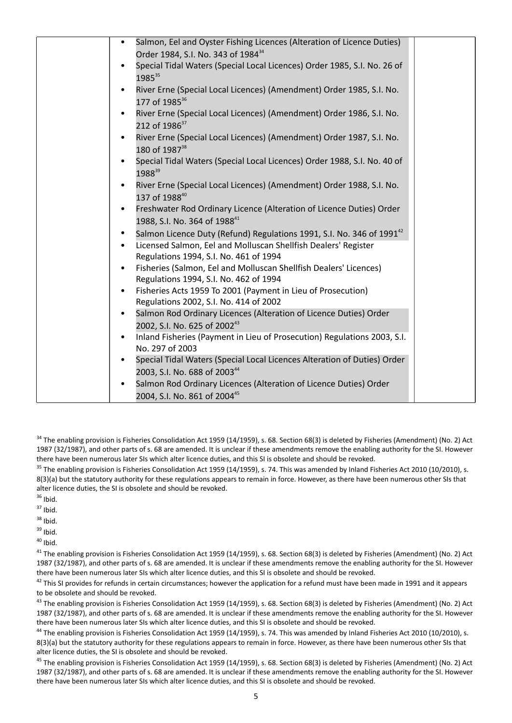| Salmon, Eel and Oyster Fishing Licences (Alteration of Licence Duties)                                              |
|---------------------------------------------------------------------------------------------------------------------|
| Order 1984, S.I. No. 343 of 1984 <sup>34</sup>                                                                      |
| Special Tidal Waters (Special Local Licences) Order 1985, S.I. No. 26 of<br>1985 <sup>35</sup>                      |
| River Erne (Special Local Licences) (Amendment) Order 1985, S.I. No.<br>177 of 1985 <sup>36</sup>                   |
| River Erne (Special Local Licences) (Amendment) Order 1986, S.I. No.<br>212 of 1986 <sup>37</sup>                   |
| River Erne (Special Local Licences) (Amendment) Order 1987, S.I. No.<br>180 of 1987 <sup>38</sup>                   |
| Special Tidal Waters (Special Local Licences) Order 1988, S.I. No. 40 of<br>198839                                  |
| River Erne (Special Local Licences) (Amendment) Order 1988, S.I. No.<br>137 of 1988 <sup>40</sup>                   |
| Freshwater Rod Ordinary Licence (Alteration of Licence Duties) Order<br>$\bullet$<br>1988, S.I. No. 364 of 198841   |
| Salmon Licence Duty (Refund) Regulations 1991, S.I. No. 346 of 1991 <sup>42</sup>                                   |
| Licensed Salmon, Eel and Molluscan Shellfish Dealers' Register<br>Regulations 1994, S.I. No. 461 of 1994            |
| Fisheries (Salmon, Eel and Molluscan Shellfish Dealers' Licences)                                                   |
| Regulations 1994, S.I. No. 462 of 1994                                                                              |
| Fisheries Acts 1959 To 2001 (Payment in Lieu of Prosecution)<br>$\bullet$<br>Regulations 2002, S.I. No. 414 of 2002 |
| Salmon Rod Ordinary Licences (Alteration of Licence Duties) Order                                                   |
| 2002, S.I. No. 625 of 200243                                                                                        |
| Inland Fisheries (Payment in Lieu of Prosecution) Regulations 2003, S.I.<br>$\bullet$<br>No. 297 of 2003            |
| Special Tidal Waters (Special Local Licences Alteration of Duties) Order<br>2003, S.I. No. 688 of 200344            |
| Salmon Rod Ordinary Licences (Alteration of Licence Duties) Order                                                   |
| 2004, S.I. No. 861 of 200445                                                                                        |

 $34$  The enabling provision is Fisheries Consolidation Act 1959 (14/1959), s. 68. Section 68(3) is deleted by Fisheries (Amendment) (No. 2) Act 1987 (32/1987), and other parts of s. 68 are amended. It is unclear if these amendments remove the enabling authority for the SI. However there have been numerous later SIs which alter licence duties, and this SI is obsolete and should be revoked.

 $35$  The enabling provision is Fisheries Consolidation Act 1959 (14/1959), s. 74. This was amended by Inland Fisheries Act 2010 (10/2010), s. 8(3)(a) but the statutory authority for these regulations appears to remain in force. However, as there have been numerous other SIs that alter licence duties, the SI is obsolete and should be revoked.

- $36$  Ibid.
- $37$  Ihid.
- $38$  Ibid.
- $39$  Ibid.
- $40$  Ihid.

<sup>41</sup> The enabling provision is Fisheries Consolidation Act 1959 (14/1959), s. 68. Section 68(3) is deleted by Fisheries (Amendment) (No. 2) Act 1987 (32/1987), and other parts of s. 68 are amended. It is unclear if these amendments remove the enabling authority for the SI. However there have been numerous later SIs which alter licence duties, and this SI is obsolete and should be revoked.

 $42$  This SI provides for refunds in certain circumstances; however the application for a refund must have been made in 1991 and it appears to be obsolete and should be revoked.

<sup>43</sup> The enabling provision is Fisheries Consolidation Act 1959 (14/1959), s. 68. Section 68(3) is deleted by Fisheries (Amendment) (No. 2) Act 1987 (32/1987), and other parts of s. 68 are amended. It is unclear if these amendments remove the enabling authority for the SI. However there have been numerous later SIs which alter licence duties, and this SI is obsolete and should be revoked.

<sup>44</sup> The enabling provision is Fisheries Consolidation Act 1959 (14/1959), s. 74. This was amended by Inland Fisheries Act 2010 (10/2010), s. 8(3)(a) but the statutory authority for these regulations appears to remain in force. However, as there have been numerous other SIs that alter licence duties, the SI is obsolete and should be revoked.

<sup>45</sup> The enabling provision is Fisheries Consolidation Act 1959 (14/1959), s. 68. Section 68(3) is deleted by Fisheries (Amendment) (No. 2) Act 1987 (32/1987), and other parts of s. 68 are amended. It is unclear if these amendments remove the enabling authority for the SI. However there have been numerous later SIs which alter licence duties, and this SI is obsolete and should be revoked.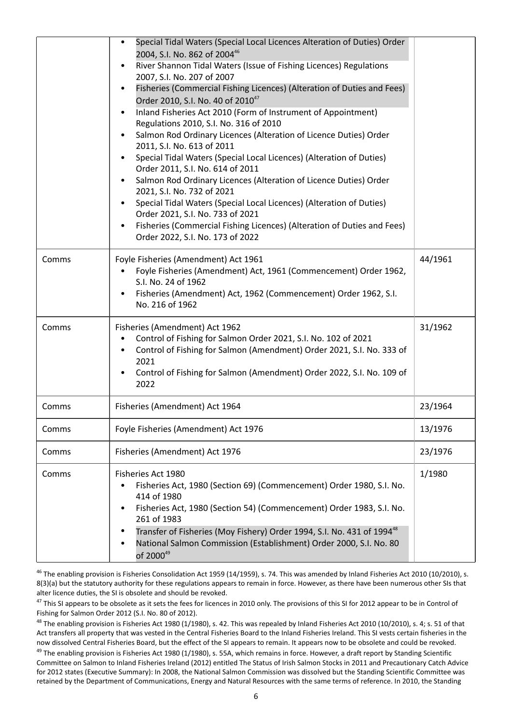|       | Special Tidal Waters (Special Local Licences Alteration of Duties) Order<br>2004, S.I. No. 862 of 2004 <sup>46</sup><br>River Shannon Tidal Waters (Issue of Fishing Licences) Regulations<br>2007, S.I. No. 207 of 2007<br>Fisheries (Commercial Fishing Licences) (Alteration of Duties and Fees)<br>Order 2010, S.I. No. 40 of 2010 <sup>47</sup><br>Inland Fisheries Act 2010 (Form of Instrument of Appointment)<br>Regulations 2010, S.I. No. 316 of 2010<br>Salmon Rod Ordinary Licences (Alteration of Licence Duties) Order<br>2011, S.I. No. 613 of 2011<br>Special Tidal Waters (Special Local Licences) (Alteration of Duties)<br>Order 2011, S.I. No. 614 of 2011<br>Salmon Rod Ordinary Licences (Alteration of Licence Duties) Order<br>2021, S.I. No. 732 of 2021<br>Special Tidal Waters (Special Local Licences) (Alteration of Duties)<br>Order 2021, S.I. No. 733 of 2021<br>Fisheries (Commercial Fishing Licences) (Alteration of Duties and Fees)<br>$\bullet$<br>Order 2022, S.I. No. 173 of 2022 |         |
|-------|---------------------------------------------------------------------------------------------------------------------------------------------------------------------------------------------------------------------------------------------------------------------------------------------------------------------------------------------------------------------------------------------------------------------------------------------------------------------------------------------------------------------------------------------------------------------------------------------------------------------------------------------------------------------------------------------------------------------------------------------------------------------------------------------------------------------------------------------------------------------------------------------------------------------------------------------------------------------------------------------------------------------------|---------|
| Comms | Foyle Fisheries (Amendment) Act 1961<br>Foyle Fisheries (Amendment) Act, 1961 (Commencement) Order 1962,<br>S.I. No. 24 of 1962<br>Fisheries (Amendment) Act, 1962 (Commencement) Order 1962, S.I.<br>No. 216 of 1962                                                                                                                                                                                                                                                                                                                                                                                                                                                                                                                                                                                                                                                                                                                                                                                                     | 44/1961 |
| Comms | Fisheries (Amendment) Act 1962<br>Control of Fishing for Salmon Order 2021, S.I. No. 102 of 2021<br>Control of Fishing for Salmon (Amendment) Order 2021, S.I. No. 333 of<br>2021<br>Control of Fishing for Salmon (Amendment) Order 2022, S.I. No. 109 of<br>$\bullet$<br>2022                                                                                                                                                                                                                                                                                                                                                                                                                                                                                                                                                                                                                                                                                                                                           | 31/1962 |
| Comms | Fisheries (Amendment) Act 1964                                                                                                                                                                                                                                                                                                                                                                                                                                                                                                                                                                                                                                                                                                                                                                                                                                                                                                                                                                                            | 23/1964 |
| Comms | Foyle Fisheries (Amendment) Act 1976                                                                                                                                                                                                                                                                                                                                                                                                                                                                                                                                                                                                                                                                                                                                                                                                                                                                                                                                                                                      | 13/1976 |
| Comms | Fisheries (Amendment) Act 1976                                                                                                                                                                                                                                                                                                                                                                                                                                                                                                                                                                                                                                                                                                                                                                                                                                                                                                                                                                                            | 23/1976 |
| Comms | Fisheries Act 1980<br>Fisheries Act, 1980 (Section 69) (Commencement) Order 1980, S.I. No.<br>414 of 1980<br>Fisheries Act, 1980 (Section 54) (Commencement) Order 1983, S.I. No.<br>261 of 1983<br>Transfer of Fisheries (Moy Fishery) Order 1994, S.I. No. 431 of 1994 <sup>48</sup><br>National Salmon Commission (Establishment) Order 2000, S.I. No. 80<br>of 2000 <sup>49</sup>                                                                                                                                                                                                                                                                                                                                                                                                                                                                                                                                                                                                                                     | 1/1980  |

<sup>46</sup> The enabling provision is Fisheries Consolidation Act 1959 (14/1959), s. 74. This was amended by Inland Fisheries Act 2010 (10/2010), s. 8(3)(a) but the statutory authority for these regulations appears to remain in force. However, as there have been numerous other SIs that alter licence duties, the SI is obsolete and should be revoked.

<sup>47</sup> This SI appears to be obsolete as it sets the fees for licences in 2010 only. The provisions of this SI for 2012 appear to be in Control of Fishing for Salmon Order 2012 (S.I. No. 80 of 2012).

<sup>48</sup> The enabling provision is Fisheries Act 1980 (1/1980), s. 42. This was repealed by Inland Fisheries Act 2010 (10/2010), s. 4; s. 51 of that Act transfers all property that was vested in the Central Fisheries Board to the Inland Fisheries Ireland. This SI vests certain fisheries in the now dissolved Central Fisheries Board, but the effect of the SI appears to remain. It appears now to be obsolete and could be revoked.

 $49$  The enabling provision is Fisheries Act 1980 (1/1980), s. 55A, which remains in force. However, a draft report by Standing Scientific Committee on Salmon to Inland Fisheries Ireland (2012) entitled The Status of Irish Salmon Stocks in 2011 and Precautionary Catch Advice for 2012 states (Executive Summary): In 2008, the National Salmon Commission was dissolved but the Standing Scientific Committee was retained by the Department of Communications, Energy and Natural Resources with the same terms of reference. In 2010, the Standing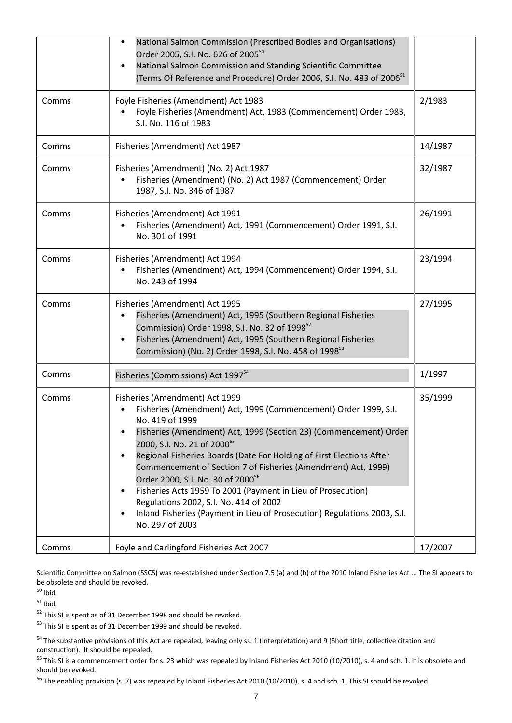|       | National Salmon Commission (Prescribed Bodies and Organisations)<br>Order 2005, S.I. No. 626 of 2005 <sup>50</sup><br>National Salmon Commission and Standing Scientific Committee<br>(Terms Of Reference and Procedure) Order 2006, S.I. No. 483 of 2006 <sup>51</sup>                                                                                                                                                                                                                                                                                                                                                                              |         |
|-------|------------------------------------------------------------------------------------------------------------------------------------------------------------------------------------------------------------------------------------------------------------------------------------------------------------------------------------------------------------------------------------------------------------------------------------------------------------------------------------------------------------------------------------------------------------------------------------------------------------------------------------------------------|---------|
| Comms | Foyle Fisheries (Amendment) Act 1983<br>Foyle Fisheries (Amendment) Act, 1983 (Commencement) Order 1983,<br>S.I. No. 116 of 1983                                                                                                                                                                                                                                                                                                                                                                                                                                                                                                                     | 2/1983  |
| Comms | Fisheries (Amendment) Act 1987                                                                                                                                                                                                                                                                                                                                                                                                                                                                                                                                                                                                                       | 14/1987 |
| Comms | Fisheries (Amendment) (No. 2) Act 1987<br>Fisheries (Amendment) (No. 2) Act 1987 (Commencement) Order<br>1987, S.I. No. 346 of 1987                                                                                                                                                                                                                                                                                                                                                                                                                                                                                                                  | 32/1987 |
| Comms | Fisheries (Amendment) Act 1991<br>Fisheries (Amendment) Act, 1991 (Commencement) Order 1991, S.I.<br>No. 301 of 1991                                                                                                                                                                                                                                                                                                                                                                                                                                                                                                                                 | 26/1991 |
| Comms | Fisheries (Amendment) Act 1994<br>Fisheries (Amendment) Act, 1994 (Commencement) Order 1994, S.I.<br>No. 243 of 1994                                                                                                                                                                                                                                                                                                                                                                                                                                                                                                                                 | 23/1994 |
| Comms | Fisheries (Amendment) Act 1995<br>Fisheries (Amendment) Act, 1995 (Southern Regional Fisheries<br>Commission) Order 1998, S.I. No. 32 of 1998 <sup>52</sup><br>Fisheries (Amendment) Act, 1995 (Southern Regional Fisheries<br>Commission) (No. 2) Order 1998, S.I. No. 458 of 1998 <sup>53</sup>                                                                                                                                                                                                                                                                                                                                                    | 27/1995 |
| Comms | Fisheries (Commissions) Act 1997 <sup>54</sup>                                                                                                                                                                                                                                                                                                                                                                                                                                                                                                                                                                                                       | 1/1997  |
| Comms | Fisheries (Amendment) Act 1999<br>Fisheries (Amendment) Act, 1999 (Commencement) Order 1999, S.I.<br>No. 419 of 1999<br>Fisheries (Amendment) Act, 1999 (Section 23) (Commencement) Order<br>2000, S.I. No. 21 of 2000 <sup>55</sup><br>Regional Fisheries Boards (Date For Holding of First Elections After<br>Commencement of Section 7 of Fisheries (Amendment) Act, 1999)<br>Order 2000, S.I. No. 30 of 2000 <sup>56</sup><br>Fisheries Acts 1959 To 2001 (Payment in Lieu of Prosecution)<br>Regulations 2002, S.I. No. 414 of 2002<br>Inland Fisheries (Payment in Lieu of Prosecution) Regulations 2003, S.I.<br>$\bullet$<br>No. 297 of 2003 | 35/1999 |
| Comms | Foyle and Carlingford Fisheries Act 2007                                                                                                                                                                                                                                                                                                                                                                                                                                                                                                                                                                                                             | 17/2007 |

Scientific Committee on Salmon (SSCS) was re-established under Section 7.5 (a) and (b) of the 2010 Inland Fisheries Act ... The SI appears to be obsolete and should be revoked.

 $50$  Ibid.

 $51$  Ibid.

 $52$  This SI is spent as of 31 December 1998 and should be revoked.

 $53$  This SI is spent as of 31 December 1999 and should be revoked.

<sup>54</sup> The substantive provisions of this Act are repealed, leaving only ss. 1 (Interpretation) and 9 (Short title, collective citation and construction). It should be repealed.

<sup>55</sup> This SI is a commencement order for s. 23 which was repealed by Inland Fisheries Act 2010 (10/2010), s. 4 and sch. 1. It is obsolete and should be revoked.

<sup>56</sup> The enabling provision (s. 7) was repealed by Inland Fisheries Act 2010 (10/2010), s. 4 and sch. 1. This SI should be revoked.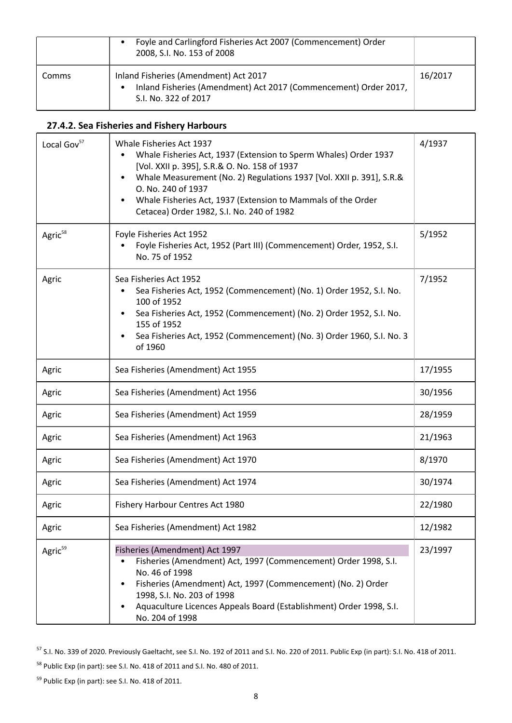|       | Foyle and Carlingford Fisheries Act 2007 (Commencement) Order<br>2008, S.I. No. 153 of 2008                                       |         |
|-------|-----------------------------------------------------------------------------------------------------------------------------------|---------|
| Comms | Inland Fisheries (Amendment) Act 2017<br>Inland Fisheries (Amendment) Act 2017 (Commencement) Order 2017,<br>S.I. No. 322 of 2017 | 16/2017 |

## **27.4.2. Sea Fisheries and Fishery Harbours**

| Local Gov <sup>57</sup> | Whale Fisheries Act 1937<br>Whale Fisheries Act, 1937 (Extension to Sperm Whales) Order 1937<br>[Vol. XXII p. 395], S.R.& O. No. 158 of 1937<br>Whale Measurement (No. 2) Regulations 1937 [Vol. XXII p. 391], S.R.&<br>$\bullet$<br>O. No. 240 of 1937<br>Whale Fisheries Act, 1937 (Extension to Mammals of the Order<br>Cetacea) Order 1982, S.I. No. 240 of 1982 | 4/1937  |
|-------------------------|----------------------------------------------------------------------------------------------------------------------------------------------------------------------------------------------------------------------------------------------------------------------------------------------------------------------------------------------------------------------|---------|
| Agric <sup>58</sup>     | Foyle Fisheries Act 1952<br>Foyle Fisheries Act, 1952 (Part III) (Commencement) Order, 1952, S.I.<br>No. 75 of 1952                                                                                                                                                                                                                                                  | 5/1952  |
| Agric                   | Sea Fisheries Act 1952<br>Sea Fisheries Act, 1952 (Commencement) (No. 1) Order 1952, S.I. No.<br>100 of 1952<br>Sea Fisheries Act, 1952 (Commencement) (No. 2) Order 1952, S.I. No.<br>155 of 1952<br>Sea Fisheries Act, 1952 (Commencement) (No. 3) Order 1960, S.I. No. 3<br>$\bullet$<br>of 1960                                                                  | 7/1952  |
| Agric                   | Sea Fisheries (Amendment) Act 1955                                                                                                                                                                                                                                                                                                                                   | 17/1955 |
| Agric                   | Sea Fisheries (Amendment) Act 1956                                                                                                                                                                                                                                                                                                                                   | 30/1956 |
| Agric                   | Sea Fisheries (Amendment) Act 1959                                                                                                                                                                                                                                                                                                                                   | 28/1959 |
| Agric                   | Sea Fisheries (Amendment) Act 1963                                                                                                                                                                                                                                                                                                                                   | 21/1963 |
| Agric                   | Sea Fisheries (Amendment) Act 1970                                                                                                                                                                                                                                                                                                                                   | 8/1970  |
| Agric                   | Sea Fisheries (Amendment) Act 1974                                                                                                                                                                                                                                                                                                                                   | 30/1974 |
| Agric                   | Fishery Harbour Centres Act 1980                                                                                                                                                                                                                                                                                                                                     | 22/1980 |
| Agric                   | Sea Fisheries (Amendment) Act 1982                                                                                                                                                                                                                                                                                                                                   | 12/1982 |
| Agric <sup>59</sup>     | Fisheries (Amendment) Act 1997<br>Fisheries (Amendment) Act, 1997 (Commencement) Order 1998, S.I.<br>$\bullet$<br>No. 46 of 1998<br>Fisheries (Amendment) Act, 1997 (Commencement) (No. 2) Order<br>1998, S.I. No. 203 of 1998<br>Aquaculture Licences Appeals Board (Establishment) Order 1998, S.I.<br>No. 204 of 1998                                             | 23/1997 |

<sup>57</sup> S.I. No. 339 of 2020. Previously Gaeltacht, see S.I. No. 192 of 2011 and S.I. No. 220 of 2011. Public Exp (in part): S.I. No. 418 of 2011.

<sup>58</sup> Public Exp (in part): see S.I. No. 418 of 2011 and S.I. No. 480 of 2011.

<sup>59</sup> Public Exp (in part): see S.I. No. 418 of 2011.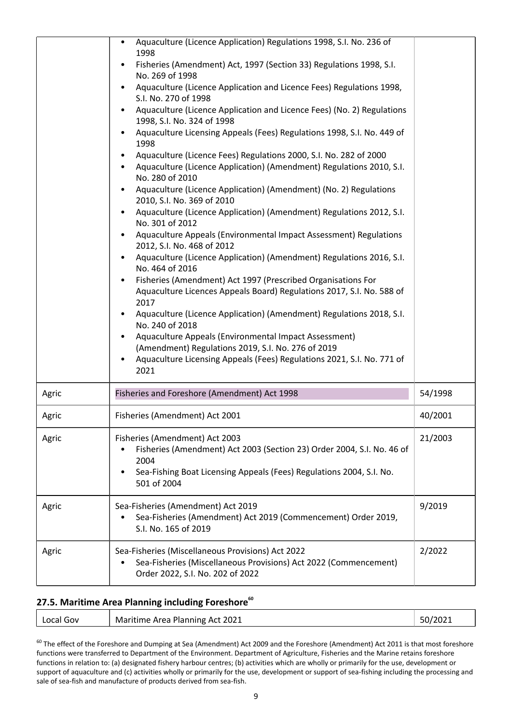|       | Aquaculture (Licence Application) Regulations 1998, S.I. No. 236 of<br>1998<br>Fisheries (Amendment) Act, 1997 (Section 33) Regulations 1998, S.I.<br>No. 269 of 1998<br>Aquaculture (Licence Application and Licence Fees) Regulations 1998,<br>S.I. No. 270 of 1998<br>Aquaculture (Licence Application and Licence Fees) (No. 2) Regulations<br>1998, S.I. No. 324 of 1998<br>Aquaculture Licensing Appeals (Fees) Regulations 1998, S.I. No. 449 of<br>1998<br>Aquaculture (Licence Fees) Regulations 2000, S.I. No. 282 of 2000<br>Aquaculture (Licence Application) (Amendment) Regulations 2010, S.I.<br>No. 280 of 2010<br>Aquaculture (Licence Application) (Amendment) (No. 2) Regulations<br>2010, S.I. No. 369 of 2010<br>Aquaculture (Licence Application) (Amendment) Regulations 2012, S.I.<br>No. 301 of 2012<br>Aquaculture Appeals (Environmental Impact Assessment) Regulations<br>2012, S.I. No. 468 of 2012<br>Aquaculture (Licence Application) (Amendment) Regulations 2016, S.I.<br>No. 464 of 2016<br>Fisheries (Amendment) Act 1997 (Prescribed Organisations For<br>$\bullet$<br>Aquaculture Licences Appeals Board) Regulations 2017, S.I. No. 588 of<br>2017<br>Aquaculture (Licence Application) (Amendment) Regulations 2018, S.I.<br>No. 240 of 2018<br>Aquaculture Appeals (Environmental Impact Assessment)<br>(Amendment) Regulations 2019, S.I. No. 276 of 2019<br>Aquaculture Licensing Appeals (Fees) Regulations 2021, S.I. No. 771 of<br>2021 |         |
|-------|---------------------------------------------------------------------------------------------------------------------------------------------------------------------------------------------------------------------------------------------------------------------------------------------------------------------------------------------------------------------------------------------------------------------------------------------------------------------------------------------------------------------------------------------------------------------------------------------------------------------------------------------------------------------------------------------------------------------------------------------------------------------------------------------------------------------------------------------------------------------------------------------------------------------------------------------------------------------------------------------------------------------------------------------------------------------------------------------------------------------------------------------------------------------------------------------------------------------------------------------------------------------------------------------------------------------------------------------------------------------------------------------------------------------------------------------------------------------------------------|---------|
| Agric | Fisheries and Foreshore (Amendment) Act 1998                                                                                                                                                                                                                                                                                                                                                                                                                                                                                                                                                                                                                                                                                                                                                                                                                                                                                                                                                                                                                                                                                                                                                                                                                                                                                                                                                                                                                                          | 54/1998 |
| Agric | Fisheries (Amendment) Act 2001                                                                                                                                                                                                                                                                                                                                                                                                                                                                                                                                                                                                                                                                                                                                                                                                                                                                                                                                                                                                                                                                                                                                                                                                                                                                                                                                                                                                                                                        | 40/2001 |
| Agric | Fisheries (Amendment) Act 2003<br>Fisheries (Amendment) Act 2003 (Section 23) Order 2004, S.I. No. 46 of<br>2004<br>Sea-Fishing Boat Licensing Appeals (Fees) Regulations 2004, S.I. No.<br>$\bullet$<br>501 of 2004                                                                                                                                                                                                                                                                                                                                                                                                                                                                                                                                                                                                                                                                                                                                                                                                                                                                                                                                                                                                                                                                                                                                                                                                                                                                  | 21/2003 |
| Agric | Sea-Fisheries (Amendment) Act 2019<br>Sea-Fisheries (Amendment) Act 2019 (Commencement) Order 2019,<br>S.I. No. 165 of 2019                                                                                                                                                                                                                                                                                                                                                                                                                                                                                                                                                                                                                                                                                                                                                                                                                                                                                                                                                                                                                                                                                                                                                                                                                                                                                                                                                           | 9/2019  |
| Agric | Sea-Fisheries (Miscellaneous Provisions) Act 2022<br>Sea-Fisheries (Miscellaneous Provisions) Act 2022 (Commencement)<br>Order 2022, S.I. No. 202 of 2022                                                                                                                                                                                                                                                                                                                                                                                                                                                                                                                                                                                                                                                                                                                                                                                                                                                                                                                                                                                                                                                                                                                                                                                                                                                                                                                             | 2/2022  |

### **27.5. Maritime Area Planning including Foreshore<sup>60</sup>**

| 50/2021<br>Maritime Area Planning Act 2021<br>Local Gov |  |
|---------------------------------------------------------|--|
|---------------------------------------------------------|--|

<sup>60</sup> The effect of the Foreshore and Dumping at Sea (Amendment) Act 2009 and the Foreshore (Amendment) Act 2011 is that most foreshore functions were transferred to Department of the Environment. Department of Agriculture, Fisheries and the Marine retains foreshore functions in relation to: (a) designated fishery harbour centres; (b) activities which are wholly or primarily for the use, development or support of aquaculture and (c) activities wholly or primarily for the use, development or support of sea-fishing including the processing and sale of sea-fish and manufacture of products derived from sea-fish.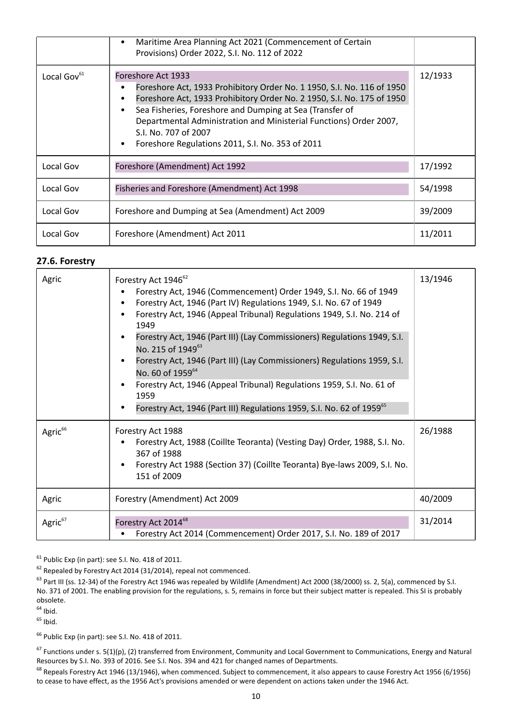|                         | Maritime Area Planning Act 2021 (Commencement of Certain<br>Provisions) Order 2022, S.I. No. 112 of 2022                                                                                                                                                                                                                                                                             |         |
|-------------------------|--------------------------------------------------------------------------------------------------------------------------------------------------------------------------------------------------------------------------------------------------------------------------------------------------------------------------------------------------------------------------------------|---------|
| Local Gov <sup>61</sup> | Foreshore Act 1933<br>Foreshore Act, 1933 Prohibitory Order No. 1 1950, S.I. No. 116 of 1950<br>Foreshore Act, 1933 Prohibitory Order No. 2 1950, S.I. No. 175 of 1950<br>Sea Fisheries, Foreshore and Dumping at Sea (Transfer of<br>Departmental Administration and Ministerial Functions) Order 2007,<br>S.I. No. 707 of 2007<br>Foreshore Regulations 2011, S.I. No. 353 of 2011 | 12/1933 |
| Local Gov               | Foreshore (Amendment) Act 1992                                                                                                                                                                                                                                                                                                                                                       | 17/1992 |
| Local Gov               | Fisheries and Foreshore (Amendment) Act 1998                                                                                                                                                                                                                                                                                                                                         | 54/1998 |
| Local Gov               | Foreshore and Dumping at Sea (Amendment) Act 2009                                                                                                                                                                                                                                                                                                                                    | 39/2009 |
| Local Gov               | Foreshore (Amendment) Act 2011                                                                                                                                                                                                                                                                                                                                                       | 11/2011 |

#### **27.6. Forestry**

| Agric               | Forestry Act 1946 <sup>62</sup><br>Forestry Act, 1946 (Commencement) Order 1949, S.I. No. 66 of 1949<br>Forestry Act, 1946 (Part IV) Regulations 1949, S.I. No. 67 of 1949<br>Forestry Act, 1946 (Appeal Tribunal) Regulations 1949, S.I. No. 214 of<br>1949<br>Forestry Act, 1946 (Part III) (Lay Commissioners) Regulations 1949, S.I.<br>No. 215 of 1949 <sup>63</sup><br>Forestry Act, 1946 (Part III) (Lay Commissioners) Regulations 1959, S.I.<br>No. 60 of 1959 <sup>64</sup><br>Forestry Act, 1946 (Appeal Tribunal) Regulations 1959, S.I. No. 61 of<br>1959<br>Forestry Act, 1946 (Part III) Regulations 1959, S.I. No. 62 of 1959 <sup>65</sup> | 13/1946 |
|---------------------|-------------------------------------------------------------------------------------------------------------------------------------------------------------------------------------------------------------------------------------------------------------------------------------------------------------------------------------------------------------------------------------------------------------------------------------------------------------------------------------------------------------------------------------------------------------------------------------------------------------------------------------------------------------|---------|
| Agric <sup>66</sup> | Forestry Act 1988<br>Forestry Act, 1988 (Coillte Teoranta) (Vesting Day) Order, 1988, S.I. No.<br>367 of 1988<br>Forestry Act 1988 (Section 37) (Coillte Teoranta) Bye-laws 2009, S.I. No.<br>151 of 2009                                                                                                                                                                                                                                                                                                                                                                                                                                                   | 26/1988 |
| Agric               | Forestry (Amendment) Act 2009                                                                                                                                                                                                                                                                                                                                                                                                                                                                                                                                                                                                                               | 40/2009 |
| Agric <sup>67</sup> | Forestry Act 2014 <sup>68</sup><br>Forestry Act 2014 (Commencement) Order 2017, S.I. No. 189 of 2017                                                                                                                                                                                                                                                                                                                                                                                                                                                                                                                                                        | 31/2014 |

<sup>61</sup> Public Exp (in part): see S.I. No. 418 of 2011.

 $62$  Repealed by Forestry Act 2014 (31/2014), repeal not commenced.

 $<sup>63</sup>$  Part III (ss. 12-34) of the Forestry Act 1946 was repealed by Wildlife (Amendment) Act 2000 (38/2000) ss. 2, 5(a), commenced by S.I.</sup> No. 371 of 2001. The enabling provision for the regulations, s. 5, remains in force but their subject matter is repealed. This SI is probably obsolete.

 $64$  Ihid.

 $65$  Ibid.

<sup>66</sup> Public Exp (in part): see S.I. No. 418 of 2011.

 $67$  Functions under s. 5(1)(p), (2) transferred from Environment, Community and Local Government to Communications, Energy and Natural Resources by S.I. No. 393 of 2016. See S.I. Nos. 394 and 421 for changed names of Departments.

<sup>68</sup> Repeals Forestry Act 1946 (13/1946), when commenced. Subject to commencement, it also appears to cause Forestry Act 1956 (6/1956) to cease to have effect, as the 1956 Act's provisions amended or were dependent on actions taken under the 1946 Act.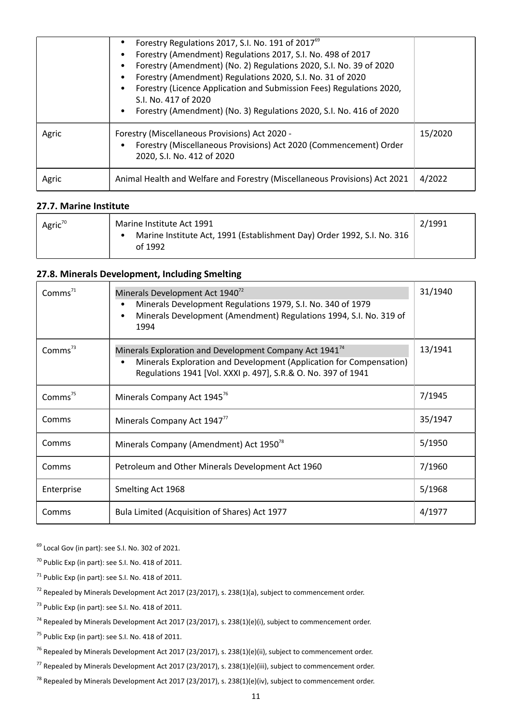|       | Forestry Regulations 2017, S.I. No. 191 of 2017 <sup>69</sup><br>Forestry (Amendment) Regulations 2017, S.I. No. 498 of 2017<br>Forestry (Amendment) (No. 2) Regulations 2020, S.I. No. 39 of 2020<br>Forestry (Amendment) Regulations 2020, S.I. No. 31 of 2020<br>Forestry (Licence Application and Submission Fees) Regulations 2020,<br>S.I. No. 417 of 2020<br>Forestry (Amendment) (No. 3) Regulations 2020, S.I. No. 416 of 2020 |         |
|-------|-----------------------------------------------------------------------------------------------------------------------------------------------------------------------------------------------------------------------------------------------------------------------------------------------------------------------------------------------------------------------------------------------------------------------------------------|---------|
| Agric | Forestry (Miscellaneous Provisions) Act 2020 -<br>Forestry (Miscellaneous Provisions) Act 2020 (Commencement) Order<br>2020, S.I. No. 412 of 2020                                                                                                                                                                                                                                                                                       | 15/2020 |
| Agric | Animal Health and Welfare and Forestry (Miscellaneous Provisions) Act 2021                                                                                                                                                                                                                                                                                                                                                              | 4/2022  |

#### **27.7. Marine Institute**

| Agric <sup>70</sup> | Marine Institute Act 1991                                               | 2/1991 |
|---------------------|-------------------------------------------------------------------------|--------|
|                     | Marine Institute Act, 1991 (Establishment Day) Order 1992, S.I. No. 316 |        |
|                     | of 1992                                                                 |        |

## **27.8. Minerals Development, Including Smelting**

| Comms <sup>71</sup> | Minerals Development Act 1940 <sup>72</sup><br>Minerals Development Regulations 1979, S.I. No. 340 of 1979<br>Minerals Development (Amendment) Regulations 1994, S.I. No. 319 of<br>1994                    | 31/1940 |
|---------------------|-------------------------------------------------------------------------------------------------------------------------------------------------------------------------------------------------------------|---------|
| Comms $^{73}$       | Minerals Exploration and Development Company Act 1941 <sup>74</sup><br>Minerals Exploration and Development (Application for Compensation)<br>Regulations 1941 [Vol. XXXI p. 497], S.R.& O. No. 397 of 1941 | 13/1941 |
| Comms $75$          | Minerals Company Act 1945 <sup>76</sup>                                                                                                                                                                     | 7/1945  |
| Comms               | Minerals Company Act 1947 <sup>77</sup>                                                                                                                                                                     | 35/1947 |
| Comms               | Minerals Company (Amendment) Act 1950 <sup>78</sup>                                                                                                                                                         | 5/1950  |
| Comms               | Petroleum and Other Minerals Development Act 1960                                                                                                                                                           | 7/1960  |
| Enterprise          | Smelting Act 1968                                                                                                                                                                                           | 5/1968  |
| Comms               | Bula Limited (Acquisition of Shares) Act 1977                                                                                                                                                               | 4/1977  |

<sup>69</sup> Local Gov (in part): see S.I. No. 302 of 2021.

 $70$  Public Exp (in part): see S.I. No. 418 of 2011.

- $71$  Public Exp (in part): see S.I. No. 418 of 2011.
- $72$  Repealed by Minerals Development Act 2017 (23/2017), s. 238(1)(a), subject to commencement order.
- $<sup>73</sup>$  Public Exp (in part): see S.I. No. 418 of 2011.</sup>
- <sup>74</sup> Repealed by Minerals Development Act 2017 (23/2017), s. 238(1)(e)(i), subject to commencement order.

<sup>75</sup> Public Exp (in part): see S.I. No. 418 of 2011.

- <sup>76</sup> Repealed by Minerals Development Act 2017 (23/2017), s. 238(1)(e)(ii), subject to commencement order.
- <sup>77</sup> Repealed by Minerals Development Act 2017 (23/2017), s. 238(1)(e)(iii), subject to commencement order.
- <sup>78</sup> Repealed by Minerals Development Act 2017 (23/2017), s. 238(1)(e)(iv), subject to commencement order.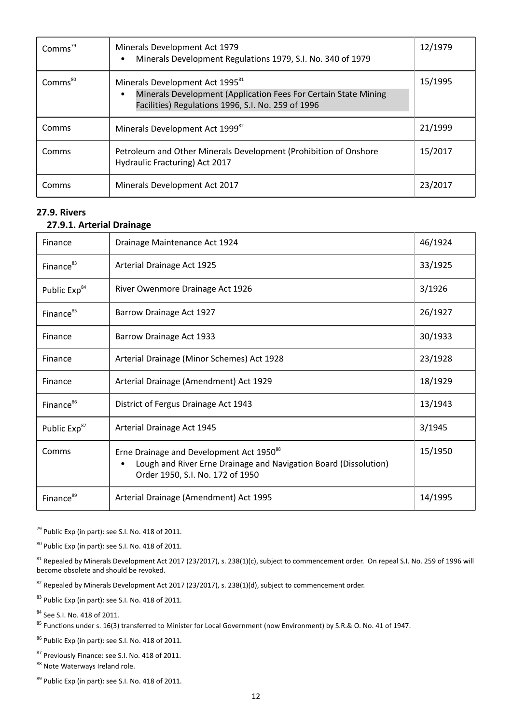| Comms <sup>79</sup> | Minerals Development Act 1979<br>Minerals Development Regulations 1979, S.I. No. 340 of 1979                                                                         | 12/1979 |
|---------------------|----------------------------------------------------------------------------------------------------------------------------------------------------------------------|---------|
| Comms <sup>80</sup> | Minerals Development Act 1995 <sup>81</sup><br>Minerals Development (Application Fees For Certain State Mining<br>Facilities) Regulations 1996, S.I. No. 259 of 1996 | 15/1995 |
| Comms               | Minerals Development Act 1999 <sup>82</sup>                                                                                                                          | 21/1999 |
| Comms               | Petroleum and Other Minerals Development (Prohibition of Onshore<br>Hydraulic Fracturing) Act 2017                                                                   | 15/2017 |
| Comms               | Minerals Development Act 2017                                                                                                                                        | 23/2017 |

### **27.9. Rivers**

## **27.9.1. Arterial Drainage**

| Finance                  | Drainage Maintenance Act 1924                                                                                                                                | 46/1924 |
|--------------------------|--------------------------------------------------------------------------------------------------------------------------------------------------------------|---------|
| Finance <sup>83</sup>    | Arterial Drainage Act 1925                                                                                                                                   | 33/1925 |
| Public Exp <sup>84</sup> | River Owenmore Drainage Act 1926                                                                                                                             | 3/1926  |
| Finance <sup>85</sup>    | Barrow Drainage Act 1927                                                                                                                                     | 26/1927 |
| Finance                  | Barrow Drainage Act 1933                                                                                                                                     | 30/1933 |
| Finance                  | Arterial Drainage (Minor Schemes) Act 1928                                                                                                                   | 23/1928 |
| Finance                  | Arterial Drainage (Amendment) Act 1929                                                                                                                       | 18/1929 |
| Finance <sup>86</sup>    | District of Fergus Drainage Act 1943                                                                                                                         | 13/1943 |
| Public Exp <sup>87</sup> | Arterial Drainage Act 1945                                                                                                                                   | 3/1945  |
| Comms                    | Erne Drainage and Development Act 1950 <sup>88</sup><br>Lough and River Erne Drainage and Navigation Board (Dissolution)<br>Order 1950, S.I. No. 172 of 1950 | 15/1950 |
| Finance <sup>89</sup>    | Arterial Drainage (Amendment) Act 1995                                                                                                                       | 14/1995 |

 $79$  Public Exp (in part): see S.I. No. 418 of 2011.

<sup>80</sup> Public Exp (in part): see S.I. No. 418 of 2011.

 $^{81}$  Repealed by Minerals Development Act 2017 (23/2017), s. 238(1)(c), subject to commencement order. On repeal S.I. No. 259 of 1996 will become obsolete and should be revoked.

 $82$  Repealed by Minerals Development Act 2017 (23/2017), s. 238(1)(d), subject to commencement order.

83 Public Exp (in part): see S.I. No. 418 of 2011.

<sup>84</sup> See S.I. No. 418 of 2011.

<sup>85</sup> Functions under s. 16(3) transferred to Minister for Local Government (now Environment) by S.R.& O. No. 41 of 1947.

<sup>86</sup> Public Exp (in part): see S.I. No. 418 of 2011.

87 Previously Finance: see S.I. No. 418 of 2011. 88 Note Waterways Ireland role.

89 Public Exp (in part): see S.I. No. 418 of 2011.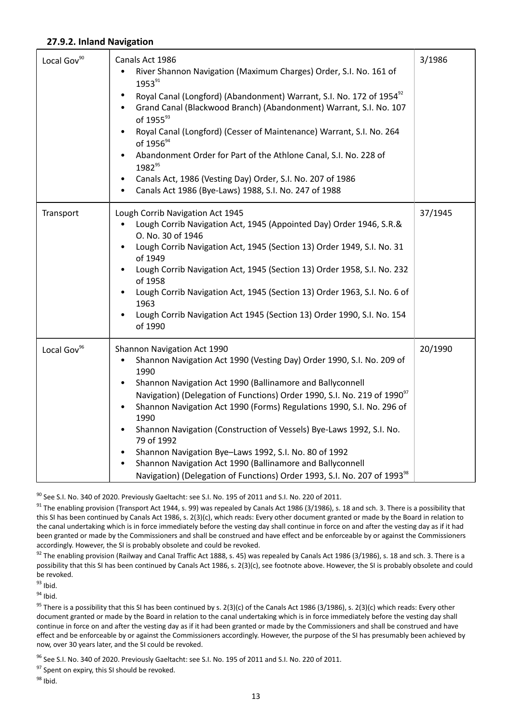#### **27.9.2. Inland Navigation**

| Local Gov <sup>90</sup> | Canals Act 1986<br>River Shannon Navigation (Maximum Charges) Order, S.I. No. 161 of<br>1953 <sup>91</sup><br>Royal Canal (Longford) (Abandonment) Warrant, S.I. No. 172 of 1954 <sup>92</sup><br>$\bullet$<br>Grand Canal (Blackwood Branch) (Abandonment) Warrant, S.I. No. 107<br>of 1955 <sup>93</sup><br>Royal Canal (Longford) (Cesser of Maintenance) Warrant, S.I. No. 264<br>of 1956 <sup>94</sup><br>Abandonment Order for Part of the Athlone Canal, S.I. No. 228 of<br>1982 <sup>95</sup><br>Canals Act, 1986 (Vesting Day) Order, S.I. No. 207 of 1986<br>Canals Act 1986 (Bye-Laws) 1988, S.I. No. 247 of 1988                                                                                            | 3/1986  |
|-------------------------|-------------------------------------------------------------------------------------------------------------------------------------------------------------------------------------------------------------------------------------------------------------------------------------------------------------------------------------------------------------------------------------------------------------------------------------------------------------------------------------------------------------------------------------------------------------------------------------------------------------------------------------------------------------------------------------------------------------------------|---------|
| Transport               | Lough Corrib Navigation Act 1945<br>Lough Corrib Navigation Act, 1945 (Appointed Day) Order 1946, S.R.&<br>O. No. 30 of 1946<br>Lough Corrib Navigation Act, 1945 (Section 13) Order 1949, S.I. No. 31<br>$\bullet$<br>of 1949<br>Lough Corrib Navigation Act, 1945 (Section 13) Order 1958, S.I. No. 232<br>$\bullet$<br>of 1958<br>Lough Corrib Navigation Act, 1945 (Section 13) Order 1963, S.I. No. 6 of<br>1963<br>Lough Corrib Navigation Act 1945 (Section 13) Order 1990, S.I. No. 154<br>of 1990                                                                                                                                                                                                              | 37/1945 |
| Local Gov <sup>96</sup> | Shannon Navigation Act 1990<br>Shannon Navigation Act 1990 (Vesting Day) Order 1990, S.I. No. 209 of<br>$\bullet$<br>1990<br>Shannon Navigation Act 1990 (Ballinamore and Ballyconnell<br>$\bullet$<br>Navigation) (Delegation of Functions) Order 1990, S.I. No. 219 of 1990 <sup>97</sup><br>Shannon Navigation Act 1990 (Forms) Regulations 1990, S.I. No. 296 of<br>$\bullet$<br>1990<br>Shannon Navigation (Construction of Vessels) Bye-Laws 1992, S.I. No.<br>79 of 1992<br>Shannon Navigation Bye-Laws 1992, S.I. No. 80 of 1992<br>$\bullet$<br>Shannon Navigation Act 1990 (Ballinamore and Ballyconnell<br>$\bullet$<br>Navigation) (Delegation of Functions) Order 1993, S.I. No. 207 of 1993 <sup>98</sup> | 20/1990 |

<sup>90</sup> See S.I. No. 340 of 2020. Previously Gaeltacht: see S.I. No. 195 of 2011 and S.I. No. 220 of 2011.

 $91$  The enabling provision (Transport Act 1944, s. 99) was repealed by Canals Act 1986 (3/1986), s. 18 and sch. 3. There is a possibility that this SI has been continued by Canals Act 1986, s. 2(3)(c), which reads: Every other document granted or made by the Board in relation to the canal undertaking which is in force immediately before the vesting day shall continue in force on and after the vesting day as if it had been granted or made by the Commissioners and shall be construed and have effect and be enforceable by or against the Commissioners accordingly. However, the SI is probably obsolete and could be revoked.

 $92$  The enabling provision (Railway and Canal Traffic Act 1888, s. 45) was repealed by Canals Act 1986 (3/1986), s. 18 and sch. 3. There is a possibility that this SI has been continued by Canals Act 1986, s. 2(3)(c), see footnote above. However, the SI is probably obsolete and could be revoked.

 $93$  Ibid.

 $94$  Ibid.

<sup>95</sup> There is a possibility that this SI has been continued by s. 2(3)(c) of the Canals Act 1986 (3/1986), s. 2(3)(c) which reads: Every other document granted or made by the Board in relation to the canal undertaking which is in force immediately before the vesting day shall continue in force on and after the vesting day as if it had been granted or made by the Commissioners and shall be construed and have effect and be enforceable by or against the Commissioners accordingly. However, the purpose of the SI has presumably been achieved by now, over 30 years later, and the SI could be revoked.

<sup>96</sup> See S.I. No. 340 of 2020. Previously Gaeltacht: see S.I. No. 195 of 2011 and S.I. No. 220 of 2011.

<sup>97</sup> Spent on expiry, this SI should be revoked.

 $98$  Ibid.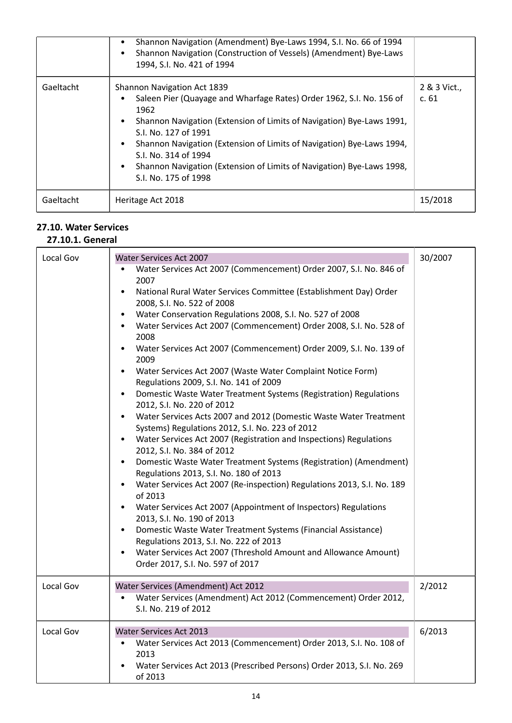|           | Shannon Navigation (Amendment) Bye-Laws 1994, S.I. No. 66 of 1994<br>Shannon Navigation (Construction of Vessels) (Amendment) Bye-Laws<br>1994, S.I. No. 421 of 1994                                                                                                                                                                                                                                           |                      |
|-----------|----------------------------------------------------------------------------------------------------------------------------------------------------------------------------------------------------------------------------------------------------------------------------------------------------------------------------------------------------------------------------------------------------------------|----------------------|
| Gaeltacht | Shannon Navigation Act 1839<br>Saleen Pier (Quayage and Wharfage Rates) Order 1962, S.I. No. 156 of<br>1962<br>Shannon Navigation (Extension of Limits of Navigation) Bye-Laws 1991,<br>S.I. No. 127 of 1991<br>Shannon Navigation (Extension of Limits of Navigation) Bye-Laws 1994,<br>S.I. No. 314 of 1994<br>Shannon Navigation (Extension of Limits of Navigation) Bye-Laws 1998,<br>S.I. No. 175 of 1998 | 2 & 3 Vict.,<br>c.61 |
| Gaeltacht | Heritage Act 2018                                                                                                                                                                                                                                                                                                                                                                                              | 15/2018              |

## **27.10. Water Services**

## **27.10.1. General**

| Local Gov | Water Services Act 2007<br>Water Services Act 2007 (Commencement) Order 2007, S.I. No. 846 of<br>2007<br>National Rural Water Services Committee (Establishment Day) Order<br>$\bullet$<br>2008, S.I. No. 522 of 2008<br>Water Conservation Regulations 2008, S.I. No. 527 of 2008<br>Water Services Act 2007 (Commencement) Order 2008, S.I. No. 528 of<br>2008<br>Water Services Act 2007 (Commencement) Order 2009, S.I. No. 139 of<br>2009<br>Water Services Act 2007 (Waste Water Complaint Notice Form)<br>Regulations 2009, S.I. No. 141 of 2009<br>Domestic Waste Water Treatment Systems (Registration) Regulations<br>2012, S.I. No. 220 of 2012<br>Water Services Acts 2007 and 2012 (Domestic Waste Water Treatment<br>Systems) Regulations 2012, S.I. No. 223 of 2012<br>Water Services Act 2007 (Registration and Inspections) Regulations<br>2012, S.I. No. 384 of 2012<br>Domestic Waste Water Treatment Systems (Registration) (Amendment)<br>$\bullet$<br>Regulations 2013, S.I. No. 180 of 2013<br>Water Services Act 2007 (Re-inspection) Regulations 2013, S.I. No. 189<br>of 2013<br>Water Services Act 2007 (Appointment of Inspectors) Regulations<br>2013, S.I. No. 190 of 2013<br>Domestic Waste Water Treatment Systems (Financial Assistance)<br>$\bullet$<br>Regulations 2013, S.I. No. 222 of 2013<br>Water Services Act 2007 (Threshold Amount and Allowance Amount)<br>Order 2017, S.I. No. 597 of 2017 | 30/2007 |
|-----------|-----------------------------------------------------------------------------------------------------------------------------------------------------------------------------------------------------------------------------------------------------------------------------------------------------------------------------------------------------------------------------------------------------------------------------------------------------------------------------------------------------------------------------------------------------------------------------------------------------------------------------------------------------------------------------------------------------------------------------------------------------------------------------------------------------------------------------------------------------------------------------------------------------------------------------------------------------------------------------------------------------------------------------------------------------------------------------------------------------------------------------------------------------------------------------------------------------------------------------------------------------------------------------------------------------------------------------------------------------------------------------------------------------------------------------------------|---------|
| Local Gov | Water Services (Amendment) Act 2012<br>Water Services (Amendment) Act 2012 (Commencement) Order 2012,<br>S.I. No. 219 of 2012                                                                                                                                                                                                                                                                                                                                                                                                                                                                                                                                                                                                                                                                                                                                                                                                                                                                                                                                                                                                                                                                                                                                                                                                                                                                                                           | 2/2012  |
| Local Gov | <b>Water Services Act 2013</b><br>Water Services Act 2013 (Commencement) Order 2013, S.I. No. 108 of<br>$\bullet$<br>2013<br>Water Services Act 2013 (Prescribed Persons) Order 2013, S.I. No. 269<br>of 2013                                                                                                                                                                                                                                                                                                                                                                                                                                                                                                                                                                                                                                                                                                                                                                                                                                                                                                                                                                                                                                                                                                                                                                                                                           | 6/2013  |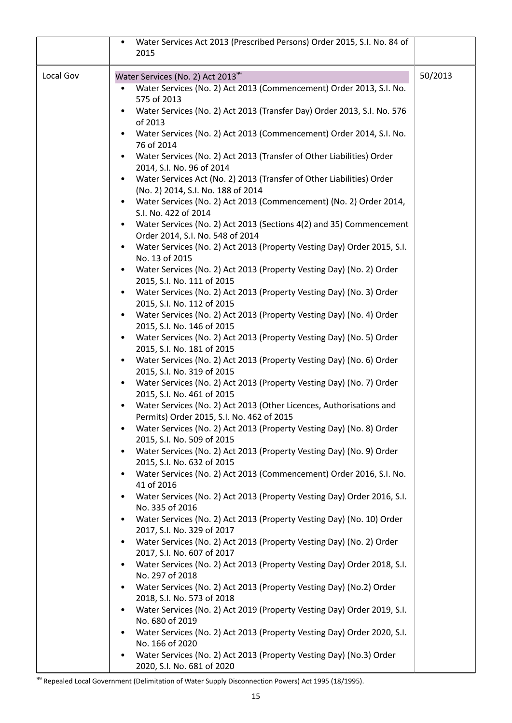|           | Water Services Act 2013 (Prescribed Persons) Order 2015, S.I. No. 84 of<br>٠                                       |         |
|-----------|--------------------------------------------------------------------------------------------------------------------|---------|
|           | 2015                                                                                                               |         |
|           |                                                                                                                    |         |
| Local Gov | Water Services (No. 2) Act 2013 <sup>99</sup>                                                                      | 50/2013 |
|           | Water Services (No. 2) Act 2013 (Commencement) Order 2013, S.I. No.<br>575 of 2013                                 |         |
|           | Water Services (No. 2) Act 2013 (Transfer Day) Order 2013, S.I. No. 576                                            |         |
|           | of 2013                                                                                                            |         |
|           | Water Services (No. 2) Act 2013 (Commencement) Order 2014, S.I. No.<br>76 of 2014                                  |         |
|           | Water Services (No. 2) Act 2013 (Transfer of Other Liabilities) Order<br>2014, S.I. No. 96 of 2014                 |         |
|           | Water Services Act (No. 2) 2013 (Transfer of Other Liabilities) Order                                              |         |
|           | (No. 2) 2014, S.I. No. 188 of 2014                                                                                 |         |
|           | Water Services (No. 2) Act 2013 (Commencement) (No. 2) Order 2014,<br>$\bullet$<br>S.I. No. 422 of 2014            |         |
|           | Water Services (No. 2) Act 2013 (Sections 4(2) and 35) Commencement                                                |         |
|           | Order 2014, S.I. No. 548 of 2014                                                                                   |         |
|           | Water Services (No. 2) Act 2013 (Property Vesting Day) Order 2015, S.I.<br>No. 13 of 2015                          |         |
|           | Water Services (No. 2) Act 2013 (Property Vesting Day) (No. 2) Order                                               |         |
|           | 2015, S.I. No. 111 of 2015                                                                                         |         |
|           | Water Services (No. 2) Act 2013 (Property Vesting Day) (No. 3) Order<br>2015, S.I. No. 112 of 2015                 |         |
|           | Water Services (No. 2) Act 2013 (Property Vesting Day) (No. 4) Order<br>$\bullet$                                  |         |
|           | 2015, S.I. No. 146 of 2015                                                                                         |         |
|           | Water Services (No. 2) Act 2013 (Property Vesting Day) (No. 5) Order<br>2015, S.I. No. 181 of 2015                 |         |
|           | Water Services (No. 2) Act 2013 (Property Vesting Day) (No. 6) Order                                               |         |
|           | 2015, S.I. No. 319 of 2015                                                                                         |         |
|           | Water Services (No. 2) Act 2013 (Property Vesting Day) (No. 7) Order                                               |         |
|           | 2015, S.I. No. 461 of 2015                                                                                         |         |
|           | Water Services (No. 2) Act 2013 (Other Licences, Authorisations and<br>Permits) Order 2015, S.I. No. 462 of 2015   |         |
|           | Water Services (No. 2) Act 2013 (Property Vesting Day) (No. 8) Order                                               |         |
|           | 2015, S.I. No. 509 of 2015                                                                                         |         |
|           | Water Services (No. 2) Act 2013 (Property Vesting Day) (No. 9) Order                                               |         |
|           | 2015, S.I. No. 632 of 2015                                                                                         |         |
|           | Water Services (No. 2) Act 2013 (Commencement) Order 2016, S.I. No.<br>41 of 2016                                  |         |
|           | Water Services (No. 2) Act 2013 (Property Vesting Day) Order 2016, S.I.<br>No. 335 of 2016                         |         |
|           | Water Services (No. 2) Act 2013 (Property Vesting Day) (No. 10) Order                                              |         |
|           | 2017, S.I. No. 329 of 2017                                                                                         |         |
|           | Water Services (No. 2) Act 2013 (Property Vesting Day) (No. 2) Order                                               |         |
|           | 2017, S.I. No. 607 of 2017<br>Water Services (No. 2) Act 2013 (Property Vesting Day) Order 2018, S.I.<br>$\bullet$ |         |
|           | No. 297 of 2018                                                                                                    |         |
|           | Water Services (No. 2) Act 2013 (Property Vesting Day) (No.2) Order                                                |         |
|           | 2018, S.I. No. 573 of 2018                                                                                         |         |
|           | Water Services (No. 2) Act 2019 (Property Vesting Day) Order 2019, S.I.<br>No. 680 of 2019                         |         |
|           | Water Services (No. 2) Act 2013 (Property Vesting Day) Order 2020, S.I.                                            |         |
|           | No. 166 of 2020                                                                                                    |         |
|           | Water Services (No. 2) Act 2013 (Property Vesting Day) (No.3) Order                                                |         |
|           | 2020, S.I. No. 681 of 2020                                                                                         |         |

99 Repealed Local Government (Delimitation of Water Supply Disconnection Powers) Act 1995 (18/1995).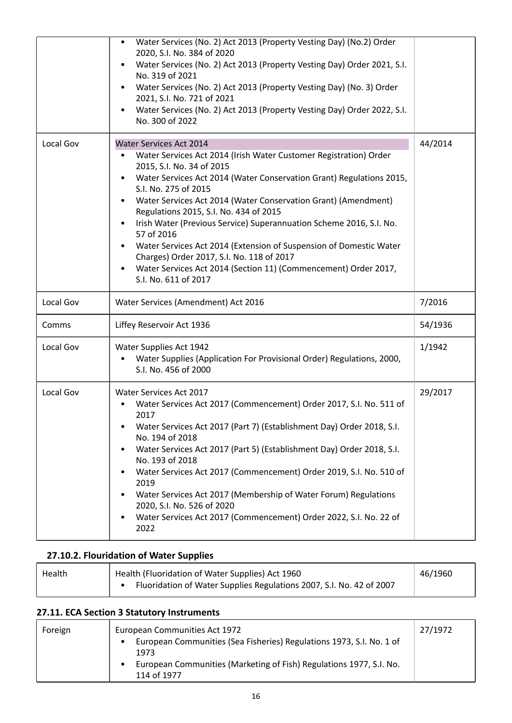|           | Water Services (No. 2) Act 2013 (Property Vesting Day) (No.2) Order<br>$\bullet$<br>2020, S.I. No. 384 of 2020<br>Water Services (No. 2) Act 2013 (Property Vesting Day) Order 2021, S.I.<br>No. 319 of 2021<br>Water Services (No. 2) Act 2013 (Property Vesting Day) (No. 3) Order<br>$\bullet$<br>2021, S.I. No. 721 of 2021<br>Water Services (No. 2) Act 2013 (Property Vesting Day) Order 2022, S.I.<br>$\bullet$<br>No. 300 of 2022                                                                                                                                                                                                                                           |         |
|-----------|--------------------------------------------------------------------------------------------------------------------------------------------------------------------------------------------------------------------------------------------------------------------------------------------------------------------------------------------------------------------------------------------------------------------------------------------------------------------------------------------------------------------------------------------------------------------------------------------------------------------------------------------------------------------------------------|---------|
| Local Gov | Water Services Act 2014<br>Water Services Act 2014 (Irish Water Customer Registration) Order<br>٠<br>2015, S.I. No. 34 of 2015<br>Water Services Act 2014 (Water Conservation Grant) Regulations 2015,<br>S.I. No. 275 of 2015<br>Water Services Act 2014 (Water Conservation Grant) (Amendment)<br>$\bullet$<br>Regulations 2015, S.I. No. 434 of 2015<br>Irish Water (Previous Service) Superannuation Scheme 2016, S.I. No.<br>$\bullet$<br>57 of 2016<br>Water Services Act 2014 (Extension of Suspension of Domestic Water<br>Charges) Order 2017, S.I. No. 118 of 2017<br>Water Services Act 2014 (Section 11) (Commencement) Order 2017,<br>$\bullet$<br>S.I. No. 611 of 2017 | 44/2014 |
| Local Gov | Water Services (Amendment) Act 2016                                                                                                                                                                                                                                                                                                                                                                                                                                                                                                                                                                                                                                                  | 7/2016  |
| Comms     | Liffey Reservoir Act 1936                                                                                                                                                                                                                                                                                                                                                                                                                                                                                                                                                                                                                                                            | 54/1936 |
| Local Gov | Water Supplies Act 1942<br>Water Supplies (Application For Provisional Order) Regulations, 2000,<br>S.I. No. 456 of 2000                                                                                                                                                                                                                                                                                                                                                                                                                                                                                                                                                             | 1/1942  |
| Local Gov | Water Services Act 2017<br>Water Services Act 2017 (Commencement) Order 2017, S.I. No. 511 of<br>$\bullet$<br>2017<br>Water Services Act 2017 (Part 7) (Establishment Day) Order 2018, S.I.<br>No. 194 of 2018<br>Water Services Act 2017 (Part 5) (Establishment Day) Order 2018, S.I.<br>No. 193 of 2018<br>Water Services Act 2017 (Commencement) Order 2019, S.I. No. 510 of<br>2019<br>Water Services Act 2017 (Membership of Water Forum) Regulations<br>2020, S.I. No. 526 of 2020<br>Water Services Act 2017 (Commencement) Order 2022, S.I. No. 22 of<br>٠<br>2022                                                                                                          | 29/2017 |

## **27.10.2. Flouridation of Water Supplies**

| Health | Health (Fluoridation of Water Supplies) Act 1960                     | 46/1960 |
|--------|----------------------------------------------------------------------|---------|
|        | Fluoridation of Water Supplies Regulations 2007, S.I. No. 42 of 2007 |         |

## **27.11. ECA Section 3 Statutory Instruments**

| Foreign | European Communities Act 1972                                                      | 27/1972 |
|---------|------------------------------------------------------------------------------------|---------|
|         | European Communities (Sea Fisheries) Regulations 1973, S.I. No. 1 of               |         |
|         | 1973                                                                               |         |
|         | European Communities (Marketing of Fish) Regulations 1977, S.I. No.<br>114 of 1977 |         |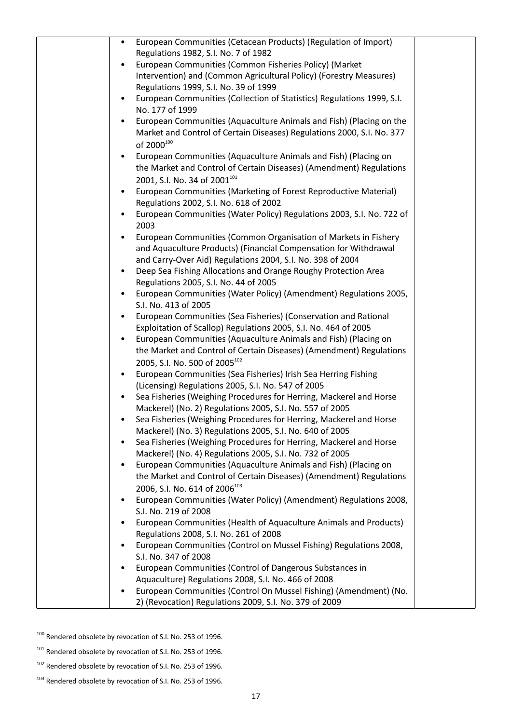| European Communities (Cetacean Products) (Regulation of Import)<br>$\bullet$                                                       |  |
|------------------------------------------------------------------------------------------------------------------------------------|--|
| Regulations 1982, S.I. No. 7 of 1982                                                                                               |  |
| European Communities (Common Fisheries Policy) (Market                                                                             |  |
| Intervention) and (Common Agricultural Policy) (Forestry Measures)                                                                 |  |
| Regulations 1999, S.I. No. 39 of 1999                                                                                              |  |
| European Communities (Collection of Statistics) Regulations 1999, S.I.<br>$\bullet$                                                |  |
| No. 177 of 1999<br>European Communities (Aquaculture Animals and Fish) (Placing on the                                             |  |
| Market and Control of Certain Diseases) Regulations 2000, S.I. No. 377                                                             |  |
| of 2000 <sup>100</sup>                                                                                                             |  |
| European Communities (Aquaculture Animals and Fish) (Placing on<br>٠                                                               |  |
| the Market and Control of Certain Diseases) (Amendment) Regulations                                                                |  |
| 2001, S.I. No. 34 of 2001 <sup>101</sup>                                                                                           |  |
| European Communities (Marketing of Forest Reproductive Material)                                                                   |  |
| Regulations 2002, S.I. No. 618 of 2002                                                                                             |  |
| European Communities (Water Policy) Regulations 2003, S.I. No. 722 of                                                              |  |
| 2003                                                                                                                               |  |
| European Communities (Common Organisation of Markets in Fishery                                                                    |  |
| and Aquaculture Products) (Financial Compensation for Withdrawal                                                                   |  |
| and Carry-Over Aid) Regulations 2004, S.I. No. 398 of 2004                                                                         |  |
| Deep Sea Fishing Allocations and Orange Roughy Protection Area<br>٠                                                                |  |
| Regulations 2005, S.I. No. 44 of 2005                                                                                              |  |
| European Communities (Water Policy) (Amendment) Regulations 2005,                                                                  |  |
| S.I. No. 413 of 2005                                                                                                               |  |
| European Communities (Sea Fisheries) (Conservation and Rational<br>Exploitation of Scallop) Regulations 2005, S.I. No. 464 of 2005 |  |
| European Communities (Aquaculture Animals and Fish) (Placing on<br>$\bullet$                                                       |  |
| the Market and Control of Certain Diseases) (Amendment) Regulations                                                                |  |
| 2005, S.I. No. 500 of 2005 <sup>102</sup>                                                                                          |  |
| European Communities (Sea Fisheries) Irish Sea Herring Fishing<br>$\bullet$                                                        |  |
| (Licensing) Regulations 2005, S.I. No. 547 of 2005                                                                                 |  |
| Sea Fisheries (Weighing Procedures for Herring, Mackerel and Horse<br>$\bullet$                                                    |  |
| Mackerel) (No. 2) Regulations 2005, S.I. No. 557 of 2005                                                                           |  |
| Sea Fisheries (Weighing Procedures for Herring, Mackerel and Horse                                                                 |  |
| Mackerel) (No. 3) Regulations 2005, S.I. No. 640 of 2005                                                                           |  |
| Sea Fisheries (Weighing Procedures for Herring, Mackerel and Horse                                                                 |  |
| Mackerel) (No. 4) Regulations 2005, S.I. No. 732 of 2005                                                                           |  |
| European Communities (Aquaculture Animals and Fish) (Placing on                                                                    |  |
| the Market and Control of Certain Diseases) (Amendment) Regulations<br>2006, S.I. No. 614 of 2006 <sup>103</sup>                   |  |
| European Communities (Water Policy) (Amendment) Regulations 2008,                                                                  |  |
| S.I. No. 219 of 2008                                                                                                               |  |
| European Communities (Health of Aquaculture Animals and Products)                                                                  |  |
| Regulations 2008, S.I. No. 261 of 2008                                                                                             |  |
| European Communities (Control on Mussel Fishing) Regulations 2008,                                                                 |  |
| S.I. No. 347 of 2008                                                                                                               |  |
| European Communities (Control of Dangerous Substances in                                                                           |  |
| Aquaculture) Regulations 2008, S.I. No. 466 of 2008                                                                                |  |
| European Communities (Control On Mussel Fishing) (Amendment) (No.                                                                  |  |
| 2) (Revocation) Regulations 2009, S.I. No. 379 of 2009                                                                             |  |

<sup>100</sup> Rendered obsolete by revocation of S.I. No. 253 of 1996.

<sup>101</sup> Rendered obsolete by revocation of S.I. No. 253 of 1996.

<sup>102</sup> Rendered obsolete by revocation of S.I. No. 253 of 1996.

<sup>&</sup>lt;sup>103</sup> Rendered obsolete by revocation of S.I. No. 253 of 1996.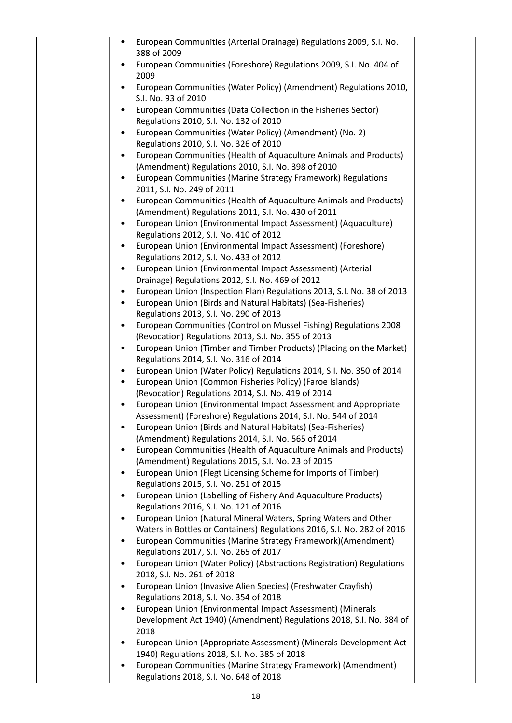| European Communities (Arterial Drainage) Regulations 2009, S.I. No.<br>$\bullet$                                                     |  |
|--------------------------------------------------------------------------------------------------------------------------------------|--|
| 388 of 2009                                                                                                                          |  |
| European Communities (Foreshore) Regulations 2009, S.I. No. 404 of<br>$\bullet$<br>2009                                              |  |
| European Communities (Water Policy) (Amendment) Regulations 2010,                                                                    |  |
| S.I. No. 93 of 2010                                                                                                                  |  |
| European Communities (Data Collection in the Fisheries Sector)<br>$\bullet$                                                          |  |
| Regulations 2010, S.I. No. 132 of 2010                                                                                               |  |
| European Communities (Water Policy) (Amendment) (No. 2)                                                                              |  |
| Regulations 2010, S.I. No. 326 of 2010                                                                                               |  |
| European Communities (Health of Aquaculture Animals and Products)<br>$\bullet$                                                       |  |
| (Amendment) Regulations 2010, S.I. No. 398 of 2010<br>European Communities (Marine Strategy Framework) Regulations<br>$\bullet$      |  |
| 2011, S.I. No. 249 of 2011                                                                                                           |  |
| European Communities (Health of Aquaculture Animals and Products)<br>$\bullet$                                                       |  |
| (Amendment) Regulations 2011, S.I. No. 430 of 2011                                                                                   |  |
| European Union (Environmental Impact Assessment) (Aquaculture)<br>$\bullet$                                                          |  |
| Regulations 2012, S.I. No. 410 of 2012                                                                                               |  |
| European Union (Environmental Impact Assessment) (Foreshore)<br>$\bullet$                                                            |  |
| Regulations 2012, S.I. No. 433 of 2012<br>European Union (Environmental Impact Assessment) (Arterial<br>$\bullet$                    |  |
| Drainage) Regulations 2012, S.I. No. 469 of 2012                                                                                     |  |
| European Union (Inspection Plan) Regulations 2013, S.I. No. 38 of 2013<br>$\bullet$                                                  |  |
| European Union (Birds and Natural Habitats) (Sea-Fisheries)<br>$\bullet$                                                             |  |
| Regulations 2013, S.I. No. 290 of 2013                                                                                               |  |
| European Communities (Control on Mussel Fishing) Regulations 2008<br>$\bullet$                                                       |  |
| (Revocation) Regulations 2013, S.I. No. 355 of 2013                                                                                  |  |
| European Union (Timber and Timber Products) (Placing on the Market)<br>$\bullet$<br>Regulations 2014, S.I. No. 316 of 2014           |  |
| European Union (Water Policy) Regulations 2014, S.I. No. 350 of 2014<br>$\bullet$                                                    |  |
| European Union (Common Fisheries Policy) (Faroe Islands)                                                                             |  |
| (Revocation) Regulations 2014, S.I. No. 419 of 2014                                                                                  |  |
| European Union (Environmental Impact Assessment and Appropriate                                                                      |  |
| Assessment) (Foreshore) Regulations 2014, S.I. No. 544 of 2014                                                                       |  |
| European Union (Birds and Natural Habitats) (Sea-Fisheries)                                                                          |  |
| (Amendment) Regulations 2014, S.I. No. 565 of 2014<br>European Communities (Health of Aquaculture Animals and Products)<br>$\bullet$ |  |
| (Amendment) Regulations 2015, S.I. No. 23 of 2015                                                                                    |  |
| European Union (Flegt Licensing Scheme for Imports of Timber)<br>٠                                                                   |  |
| Regulations 2015, S.I. No. 251 of 2015                                                                                               |  |
| European Union (Labelling of Fishery And Aquaculture Products)                                                                       |  |
| Regulations 2016, S.I. No. 121 of 2016                                                                                               |  |
| European Union (Natural Mineral Waters, Spring Waters and Other<br>$\bullet$                                                         |  |
| Waters in Bottles or Containers) Regulations 2016, S.I. No. 282 of 2016<br>$\bullet$                                                 |  |
| European Communities (Marine Strategy Framework) (Amendment)<br>Regulations 2017, S.I. No. 265 of 2017                               |  |
| European Union (Water Policy) (Abstractions Registration) Regulations<br>$\bullet$                                                   |  |
| 2018, S.I. No. 261 of 2018                                                                                                           |  |
| European Union (Invasive Alien Species) (Freshwater Crayfish)<br>٠                                                                   |  |
| Regulations 2018, S.I. No. 354 of 2018                                                                                               |  |
| European Union (Environmental Impact Assessment) (Minerals<br>$\bullet$                                                              |  |
| Development Act 1940) (Amendment) Regulations 2018, S.I. No. 384 of<br>2018                                                          |  |
| European Union (Appropriate Assessment) (Minerals Development Act<br>٠                                                               |  |
| 1940) Regulations 2018, S.I. No. 385 of 2018                                                                                         |  |
| European Communities (Marine Strategy Framework) (Amendment)                                                                         |  |
| Regulations 2018, S.I. No. 648 of 2018                                                                                               |  |